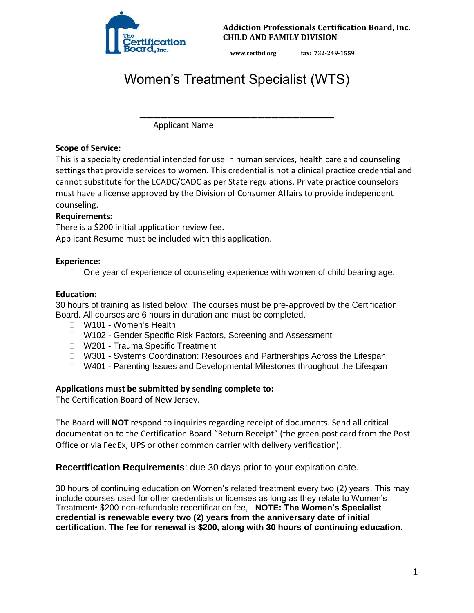

**Addiction Professionals Certification Board, Inc. CHILD AND FAMILY DIVISION** 

**www.certbd.org fax: 732-249-1559** 

# Women's Treatment Specialist (WTS)

\_\_\_\_\_\_\_\_\_\_\_\_\_\_\_\_\_\_\_\_\_\_\_\_\_\_\_\_

Applicant Name

#### **Scope of Service:**

This is a specialty credential intended for use in human services, health care and counseling settings that provide services to women. This credential is not a clinical practice credential and cannot substitute for the LCADC/CADC as per State regulations. Private practice counselors must have a license approved by the Division of Consumer Affairs to provide independent counseling.

## **Requirements:**

There is a \$200 initial application review fee.

Applicant Resume must be included with this application.

#### **Experience:**

 $\Box$  One year of experience of counseling experience with women of child bearing age.

## **Education:**

30 hours of training as listed below. The courses must be pre-approved by the Certification Board. All courses are 6 hours in duration and must be completed.

- □ W101 Women's Health
- □ W102 Gender Specific Risk Factors, Screening and Assessment
- □ W201 Trauma Specific Treatment
- □ W301 Systems Coordination: Resources and Partnerships Across the Lifespan
- □ W401 Parenting Issues and Developmental Milestones throughout the Lifespan

## **Applications must be submitted by sending complete to:**

The Certification Board of New Jersey.

The Board will **NOT** respond to inquiries regarding receipt of documents. Send all critical documentation to the Certification Board "Return Receipt" (the green post card from the Post Office or via FedEx, UPS or other common carrier with delivery verification).

**Recertification Requirements**: due 30 days prior to your expiration date.

30 hours of continuing education on Women's related treatment every two (2) years. This may include courses used for other credentials or licenses as long as they relate to Women's Treatment• \$200 non-refundable recertification fee, **NOTE: The Women's Specialist credential is renewable every two (2) years from the anniversary date of initial certification. The fee for renewal is \$200, along with 30 hours of continuing education.**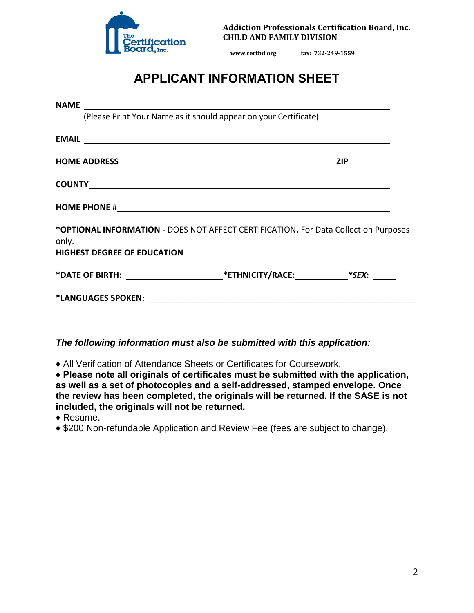

**Addiction Professionals Certification Board, Inc. CHILD AND FAMILY DIVISION** 

**www.certbd.org fax: 732-249-1559** 

## **APPLICANT INFORMATION SHEET**

|       | (Please Print Your Name as it should appear on your Certificate)                    |  |
|-------|-------------------------------------------------------------------------------------|--|
|       |                                                                                     |  |
|       |                                                                                     |  |
|       |                                                                                     |  |
|       |                                                                                     |  |
| only. | *OPTIONAL INFORMATION - DOES NOT AFFECT CERTIFICATION. For Data Collection Purposes |  |
|       |                                                                                     |  |
|       |                                                                                     |  |

*The following information must also be submitted with this application:* 

♦ All Verification of Attendance Sheets or Certificates for Coursework.

♦ **Please note all originals of certificates must be submitted with the application, as well as a set of photocopies and a self-addressed, stamped envelope. Once the review has been completed, the originals will be returned. If the SASE is not included, the originals will not be returned.** 

♦ Resume.

♦ \$200 Non-refundable Application and Review Fee (fees are subject to change).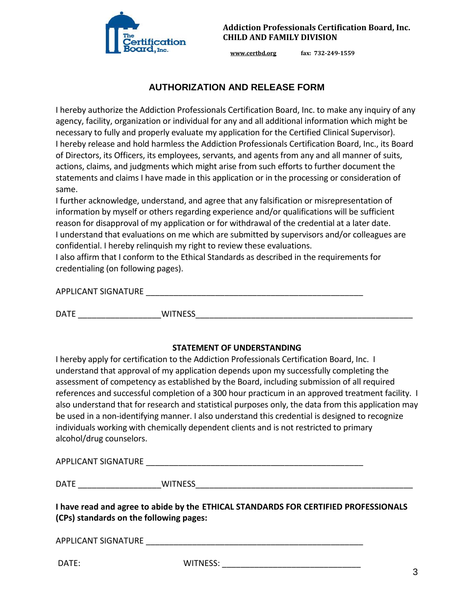

**www.certbd.org fax: 732-249-1559** 

## **AUTHORIZATION AND RELEASE FORM**

I hereby authorize the Addiction Professionals Certification Board, Inc. to make any inquiry of any agency, facility, organization or individual for any and all additional information which might be necessary to fully and properly evaluate my application for the Certified Clinical Supervisor). I hereby release and hold harmless the Addiction Professionals Certification Board, Inc., its Board of Directors, its Officers, its employees, servants, and agents from any and all manner of suits, actions, claims, and judgments which might arise from such efforts to further document the statements and claims I have made in this application or in the processing or consideration of same.

I further acknowledge, understand, and agree that any falsification or misrepresentation of information by myself or others regarding experience and/or qualifications will be sufficient reason for disapproval of my application or for withdrawal of the credential at a later date. I understand that evaluations on me which are submitted by supervisors and/or colleagues are confidential. I hereby relinquish my right to review these evaluations.

I also affirm that I conform to the Ethical Standards as described in the requirements for credentialing (on following pages).

APPLICANT SIGNATURE \_\_\_\_\_\_\_\_\_\_\_\_\_\_\_\_\_\_\_\_\_\_\_\_\_\_\_\_\_\_\_\_\_\_\_\_\_\_\_\_\_\_\_\_\_\_\_

DATE THE MITNESS IN THE SERVICE OF STATE AND THE SERVICE OF STATE AND THE SERVICE OF STATE AND THE STATE OF ST

#### **STATEMENT OF UNDERSTANDING**

I hereby apply for certification to the Addiction Professionals Certification Board, Inc. I understand that approval of my application depends upon my successfully completing the assessment of competency as established by the Board, including submission of all required references and successful completion of a 300 hour practicum in an approved treatment facility. I also understand that for research and statistical purposes only, the data from this application may be used in a non-identifying manner. I also understand this credential is designed to recognize individuals working with chemically dependent clients and is not restricted to primary alcohol/drug counselors.

APPLICANT SIGNATURE THE SERVICE OF THE SERVICE OF THE SERVICE OF THE SERVICE OF THE SERVICE OF THE SERVICE OF THE SERVICE OF THE SERVICE OF THE SERVICE OF THE SERVICE OF THE SERVICE OF THE SERVICE OF THE SERVICE OF THE SER

DATE \_\_\_\_\_\_\_\_\_\_\_\_\_\_\_\_\_\_WITNESS\_\_\_\_\_\_\_\_\_\_\_\_\_\_\_\_\_\_\_\_\_\_\_\_\_\_\_\_\_\_\_\_\_\_\_\_\_\_\_\_\_\_\_\_\_\_\_

**I have read and agree to abide by the ETHICAL STANDARDS FOR CERTIFIED PROFESSIONALS (CPs) standards on the following pages:** 

APPLICANT SIGNATURE **with a state of the state of the state of the state of the state of the state of the state o** 

DATE: WITNESS: \_\_\_\_\_\_\_\_\_\_\_\_\_\_\_\_\_\_\_\_\_\_\_\_\_\_\_\_\_\_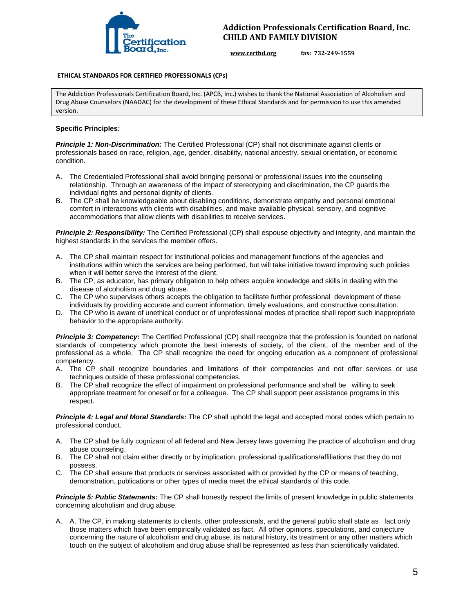

**www.certbd.org fax: 732-249-1559** 

#### **ETHICAL STANDARDS FOR CERTIFIED PROFESSIONALS (CPs)**

The Addiction Professionals Certification Board, Inc. (APCB, Inc.) wishes to thank the National Association of Alcoholism and Drug Abuse Counselors (NAADAC) for the development of these Ethical Standards and for permission to use this amended version.

#### **Specific Principles:**

*Principle 1: Non-Discrimination:* The Certified Professional (CP) shall not discriminate against clients or professionals based on race, religion, age, gender, disability, national ancestry, sexual orientation, or economic condition.

- A. The Credentialed Professional shall avoid bringing personal or professional issues into the counseling relationship. Through an awareness of the impact of stereotyping and discrimination, the CP guards the individual rights and personal dignity of clients.
- B. The CP shall be knowledgeable about disabling conditions, demonstrate empathy and personal emotional comfort in interactions with clients with disabilities, and make available physical, sensory, and cognitive accommodations that allow clients with disabilities to receive services.

*Principle 2: Responsibility:* The Certified Professional (CP) shall espouse objectivity and integrity, and maintain the highest standards in the services the member offers.

- A. The CP shall maintain respect for institutional policies and management functions of the agencies and institutions within which the services are being performed, but will take initiative toward improving such policies when it will better serve the interest of the client.
- B. The CP, as educator, has primary obligation to help others acquire knowledge and skills in dealing with the disease of alcoholism and drug abuse.
- C. The CP who supervises others accepts the obligation to facilitate further professional development of these individuals by providing accurate and current information, timely evaluations, and constructive consultation.
- D. The CP who is aware of unethical conduct or of unprofessional modes of practice shall report such inappropriate behavior to the appropriate authority.

**Principle 3: Competency:** The Certified Professional (CP) shall recognize that the profession is founded on national standards of competency which promote the best interests of society, of the client, of the member and of the professional as a whole. The CP shall recognize the need for ongoing education as a component of professional competency.

- A. The CP shall recognize boundaries and limitations of their competencies and not offer services or use techniques outside of these professional competencies.
- B. The CP shall recognize the effect of impairment on professional performance and shall be willing to seek appropriate treatment for oneself or for a colleague. The CP shall support peer assistance programs in this respect.

*Principle 4: Legal and Moral Standards:* The CP shall uphold the legal and accepted moral codes which pertain to professional conduct.

- A. The CP shall be fully cognizant of all federal and New Jersey laws governing the practice of alcoholism and drug abuse counseling.
- B. The CP shall not claim either directly or by implication, professional qualifications/affiliations that they do not possess.
- C. The CP shall ensure that products or services associated with or provided by the CP or means of teaching, demonstration, publications or other types of media meet the ethical standards of this code.

*Principle 5: Public Statements:* The CP shall honestly respect the limits of present knowledge in public statements concerning alcoholism and drug abuse.

A. A. The CP, in making statements to clients, other professionals, and the general public shall state as fact only those matters which have been empirically validated as fact. All other opinions, speculations, and conjecture concerning the nature of alcoholism and drug abuse, its natural history, its treatment or any other matters which touch on the subject of alcoholism and drug abuse shall be represented as less than scientifically validated.